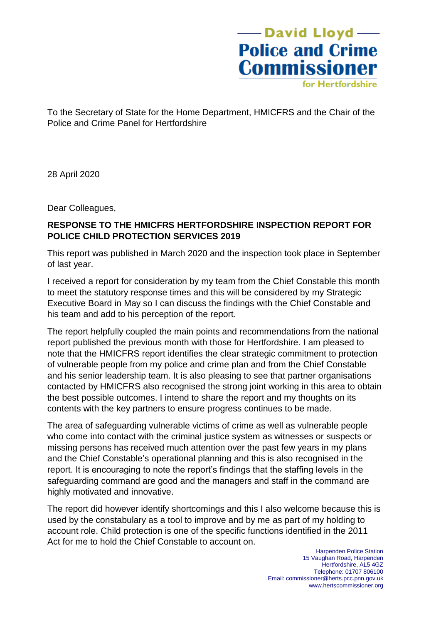-David Lloyd -**Police and Crime Commissioner** 

for Hertfordshire

To the Secretary of State for the Home Department, HMICFRS and the Chair of the Police and Crime Panel for Hertfordshire

28 April 2020

Dear Colleagues,

#### **RESPONSE TO THE HMICFRS HERTFORDSHIRE INSPECTION REPORT FOR POLICE CHILD PROTECTION SERVICES 2019**

This report was published in March 2020 and the inspection took place in September of last year.

I received a report for consideration by my team from the Chief Constable this month to meet the statutory response times and this will be considered by my Strategic Executive Board in May so I can discuss the findings with the Chief Constable and his team and add to his perception of the report.

The report helpfully coupled the main points and recommendations from the national report published the previous month with those for Hertfordshire. I am pleased to note that the HMICFRS report identifies the clear strategic commitment to protection of vulnerable people from my police and crime plan and from the Chief Constable and his senior leadership team. It is also pleasing to see that partner organisations contacted by HMICFRS also recognised the strong joint working in this area to obtain the best possible outcomes. I intend to share the report and my thoughts on its contents with the key partners to ensure progress continues to be made.

The area of safeguarding vulnerable victims of crime as well as vulnerable people who come into contact with the criminal justice system as witnesses or suspects or missing persons has received much attention over the past few years in my plans and the Chief Constable's operational planning and this is also recognised in the report. It is encouraging to note the report's findings that the staffing levels in the safeguarding command are good and the managers and staff in the command are highly motivated and innovative.

The report did however identify shortcomings and this I also welcome because this is used by the constabulary as a tool to improve and by me as part of my holding to account role. Child protection is one of the specific functions identified in the 2011 Act for me to hold the Chief Constable to account on.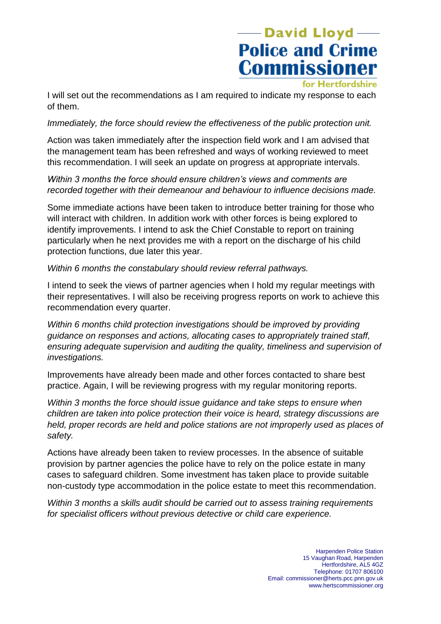# -David Lloyd **Police and Crime Commissioner**

for Hertfordshire

I will set out the recommendations as I am required to indicate my response to each of them.

#### *Immediately, the force should review the effectiveness of the public protection unit.*

Action was taken immediately after the inspection field work and I am advised that the management team has been refreshed and ways of working reviewed to meet this recommendation. I will seek an update on progress at appropriate intervals.

### *Within 3 months the force should ensure children's views and comments are recorded together with their demeanour and behaviour to influence decisions made.*

Some immediate actions have been taken to introduce better training for those who will interact with children. In addition work with other forces is being explored to identify improvements. I intend to ask the Chief Constable to report on training particularly when he next provides me with a report on the discharge of his child protection functions, due later this year.

*Within 6 months the constabulary should review referral pathways.*

I intend to seek the views of partner agencies when I hold my regular meetings with their representatives. I will also be receiving progress reports on work to achieve this recommendation every quarter.

*Within 6 months child protection investigations should be improved by providing guidance on responses and actions, allocating cases to appropriately trained staff, ensuring adequate supervision and auditing the quality, timeliness and supervision of investigations.*

Improvements have already been made and other forces contacted to share best practice. Again, I will be reviewing progress with my regular monitoring reports.

*Within 3 months the force should issue guidance and take steps to ensure when children are taken into police protection their voice is heard, strategy discussions are held, proper records are held and police stations are not improperly used as places of safety.*

Actions have already been taken to review processes. In the absence of suitable provision by partner agencies the police have to rely on the police estate in many cases to safeguard children. Some investment has taken place to provide suitable non-custody type accommodation in the police estate to meet this recommendation.

*Within 3 months a skills audit should be carried out to assess training requirements for specialist officers without previous detective or child care experience.*